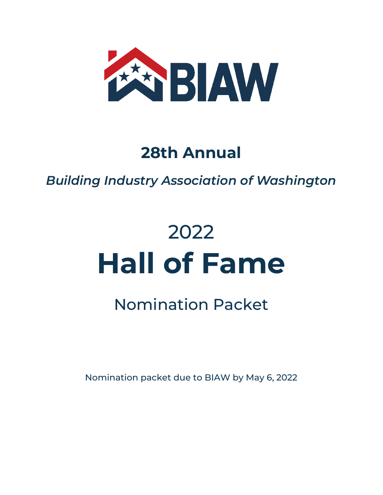

### **28th Annual**

*Building Industry Association of Washington* 

# 2022 **Hall of Fame**

## Nomination Packet

Nomination packet due to BIAW by May 6, 2022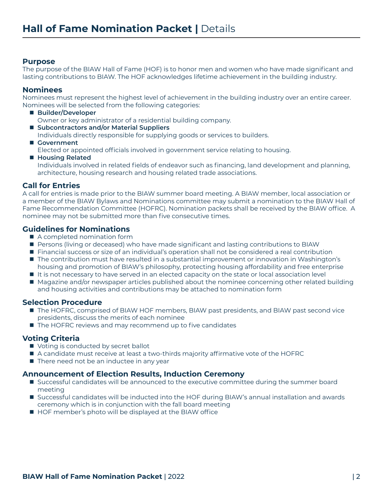#### **Purpose**

The purpose of the BIAW Hall of Fame (HOF) is to honor men and women who have made significant and lasting contributions to BIAW. The HOF acknowledges lifetime achievement in the building industry.

#### **Nominees**

Nominees must represent the highest level of achievement in the building industry over an entire career. Nominees will be selected from the following categories:

- Builder/Developer Owner or key administrator of a residential building company.
- Subcontractors and/or Material Suppliers Individuals directly responsible for supplying goods or services to builders.
- Government Elected or appointed officials involved in government service relating to housing.

■ Housing Related Individuals involved in related fields of endeavor such as financing, land development and planning, architecture, housing research and housing related trade associations.

#### **Call for Entries**

A call for entries is made prior to the BIAW summer board meeting. A BIAW member, local association or a member of the BIAW Bylaws and Nominations committee may submit a nomination to the BIAW Hall of Fame Recommendation Committee (HOFRC). Nomination packets shall be received by the BIAW office. A nominee may not be submitted more than five consecutive times.

#### **Guidelines for Nominations**

- $\blacksquare$  A completed nomination form
- Persons (living or deceased) who have made significant and lasting contributions to BIAW
- Financial success or size of an individual's operation shall not be considered a real contribution
- $\blacksquare$  The contribution must have resulted in a substantial improvement or innovation in Washington's housing and promotion of BIAW's philosophy, protecting housing affordability and free enterprise
- It is not necessary to have served in an elected capacity on the state or local association level
- Magazine and/or newspaper articles published about the nominee concerning other related building and housing activities and contributions may be attached to nomination form

#### **Selection Procedure**

- The HOFRC, comprised of BIAW HOF members, BIAW past presidents, and BIAW past second vice presidents, discuss the merits of each nominee
- The HOFRC reviews and may recommend up to five candidates

#### **Voting Criteria**

- voting is conducted by secret ballot
- A candidate must receive at least a two-thirds majority affirmative vote of the HOFRC
- $\blacksquare$  There need not be an inductee in any year

#### **Announcement of Election Results, Induction Ceremony**

- **n** Successful candidates will be announced to the executive committee during the summer board meeting
- Successful candidates will be inducted into the HOF during BIAW's annual installation and awards ceremony which is in conjunction with the fall board meeting
- HOF member's photo will be displayed at the BIAW office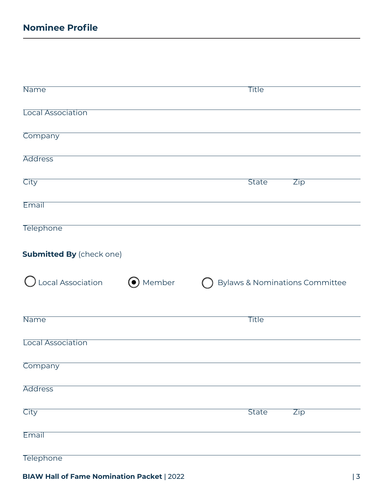| <b>Name</b>                     | <b>Title</b>                                          |
|---------------------------------|-------------------------------------------------------|
|                                 |                                                       |
| <b>Local Association</b>        |                                                       |
|                                 |                                                       |
| Company                         |                                                       |
| <b>Address</b>                  |                                                       |
|                                 |                                                       |
| City                            | <b>State</b><br><b>Zip</b>                            |
| Email                           |                                                       |
|                                 |                                                       |
| <b>Telephone</b>                |                                                       |
|                                 |                                                       |
| <b>Submitted By (check one)</b> |                                                       |
|                                 |                                                       |
| Local Association               | O Member<br><b>Bylaws &amp; Nominations Committee</b> |
|                                 |                                                       |
| Name                            | <b>Title</b>                                          |
|                                 |                                                       |
|                                 |                                                       |
| Local Association               |                                                       |
|                                 |                                                       |
| Company                         |                                                       |
| <b>Address</b>                  |                                                       |
|                                 |                                                       |
| City                            | <b>State</b><br>Zip                                   |
|                                 |                                                       |
| Email                           |                                                       |

**BIAW Hall of Fame Nomination Packet**  $|2022$   $|3$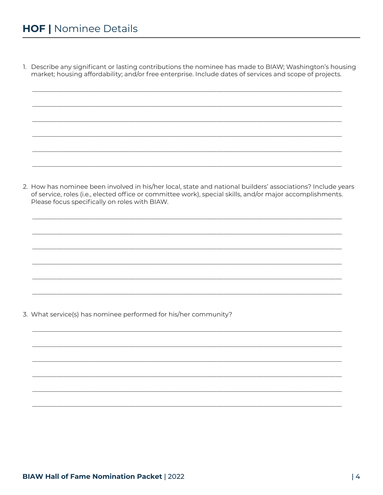1. Describe any significant or lasting contributions the nominee has made to BIAW; Washington's housing market; housing affordability; and/or free enterprise. Include dates of services and scope of projects.

2. How has nominee been involved in his/her local, state and national builders' associations? Include years of service, roles (i.e., elected office or committee work), special skills, and/or major accomplishments. Please focus specifically on roles with BIAW.

3. What service(s) has nominee performed for his/her community?